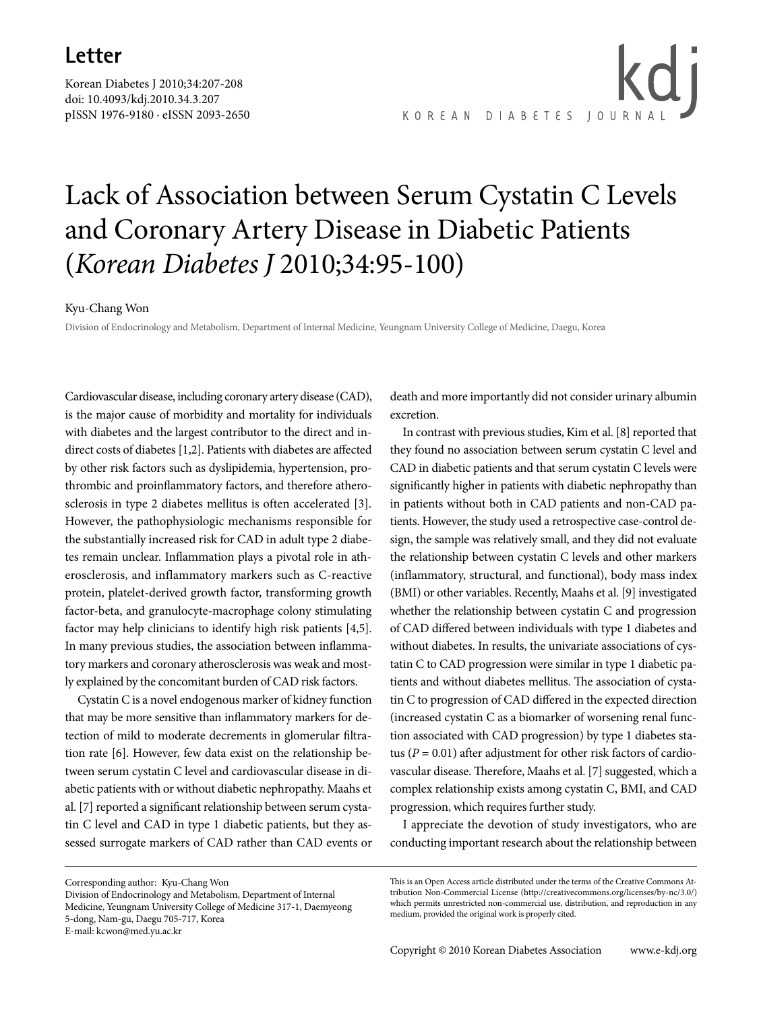Korean Diabetes J 2010;34:207-208 doi: 10.4093/kdj.2010.34.3.207 pISSN 1976-9180 · eISSN 2093-2650

kd i KOREAN DIABETES JOURNA

## Lack of Association between Serum Cystatin C Levels and Coronary Artery Disease in Diabetic Patients (*Korean Diabetes J* 2010;34:95-100)

## Kyu-Chang Won

Division of Endocrinology and Metabolism, Department of Internal Medicine, Yeungnam University College of Medicine, Daegu, Korea

Cardiovascular disease, including coronary artery disease (CAD), is the major cause of morbidity and mortality for individuals with diabetes and the largest contributor to the direct and indirect costs of diabetes [1,2]. Patients with diabetes are affected by other risk factors such as dyslipidemia, hypertension, prothrombic and proinflammatory factors, and therefore atherosclerosis in type 2 diabetes mellitus is often accelerated [3]. However, the pathophysiologic mechanisms responsible for the substantially increased risk for CAD in adult type 2 diabetes remain unclear. Inflammation plays a pivotal role in atherosclerosis, and inflammatory markers such as C-reactive protein, platelet-derived growth factor, transforming growth factor-beta, and granulocyte-macrophage colony stimulating factor may help clinicians to identify high risk patients [4,5]. In many previous studies, the association between inflammatory markers and coronary atherosclerosis was weak and mostly explained by the concomitant burden of CAD risk factors.

Cystatin C is a novel endogenous marker of kidney function that may be more sensitive than inflammatory markers for detection of mild to moderate decrements in glomerular filtration rate [6]. However, few data exist on the relationship between serum cystatin C level and cardiovascular disease in diabetic patients with or without diabetic nephropathy. Maahs et al. [7] reported a significant relationship between serum cystatin C level and CAD in type 1 diabetic patients, but they assessed surrogate markers of CAD rather than CAD events or

Corresponding author: Kyu-Chang Won Division of Endocrinology and Metabolism, Department of Internal Medicine, Yeungnam University College of Medicine 317-1, Daemyeong 5-dong, Nam-gu, Daegu 705-717, Korea

death and more importantly did not consider urinary albumin excretion.

In contrast with previous studies, Kim et al. [8] reported that they found no association between serum cystatin C level and CAD in diabetic patients and that serum cystatin C levels were significantly higher in patients with diabetic nephropathy than in patients without both in CAD patients and non-CAD patients. However, the study used a retrospective case-control design, the sample was relatively small, and they did not evaluate the relationship between cystatin C levels and other markers (inflammatory, structural, and functional), body mass index (BMI) or other variables. Recently, Maahs et al. [9] investigated whether the relationship between cystatin C and progression of CAD differed between individuals with type 1 diabetes and without diabetes. In results, the univariate associations of cystatin C to CAD progression were similar in type 1 diabetic patients and without diabetes mellitus. The association of cystatin C to progression of CAD differed in the expected direction (increased cystatin C as a biomarker of worsening renal function associated with CAD progression) by type 1 diabetes status ( $P = 0.01$ ) after adjustment for other risk factors of cardiovascular disease. Therefore, Maahs et al. [7] suggested, which a complex relationship exists among cystatin C, BMI, and CAD progression, which requires further study.

I appreciate the devotion of study investigators, who are conducting important research about the relationship between

E-mail: kcwon@med.yu.ac.kr

This is an Open Access article distributed under the terms of the Creative Commons Attribution Non-Commercial License (http://creativecommons.org/licenses/by-nc/3.0/) which permits unrestricted non-commercial use, distribution, and reproduction in any medium, provided the original work is properly cited.